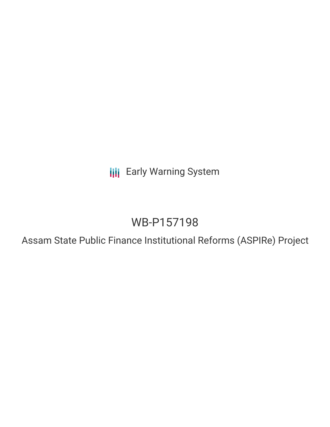**III** Early Warning System

## WB-P157198

Assam State Public Finance Institutional Reforms (ASPIRe) Project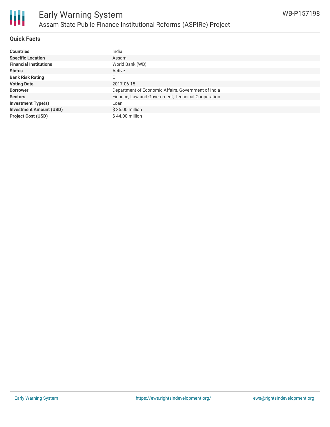

#### **Quick Facts**

| <b>Countries</b>               | India                                               |
|--------------------------------|-----------------------------------------------------|
| <b>Specific Location</b>       | Assam                                               |
| <b>Financial Institutions</b>  | World Bank (WB)                                     |
| <b>Status</b>                  | Active                                              |
| <b>Bank Risk Rating</b>        | C                                                   |
| <b>Voting Date</b>             | 2017-06-15                                          |
| <b>Borrower</b>                | Department of Economic Affairs, Government of India |
| <b>Sectors</b>                 | Finance, Law and Government, Technical Cooperation  |
| <b>Investment Type(s)</b>      | Loan                                                |
| <b>Investment Amount (USD)</b> | $$35.00$ million                                    |
| <b>Project Cost (USD)</b>      | $$44.00$ million                                    |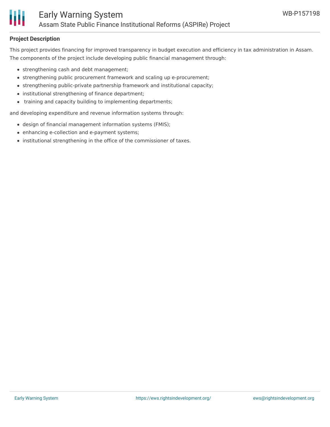

#### **Project Description**

This project provides financing for improved transparency in budget execution and efficiency in tax administration in Assam. The components of the project include developing public financial management through:

- strengthening cash and debt management;
- strengthening public procurement framework and scaling up e-procurement;
- strengthening public-private partnership framework and institutional capacity;
- institutional strengthening of finance department;
- training and capacity building to implementing departments;

and developing expenditure and revenue information systems through:

- design of financial management information systems (FMIS);
- enhancing e-collection and e-payment systems;
- institutional strengthening in the office of the commissioner of taxes.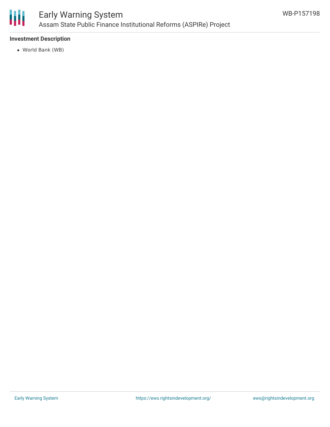

### Early Warning System Assam State Public Finance Institutional Reforms (ASPIRe) Project

#### **Investment Description**

World Bank (WB)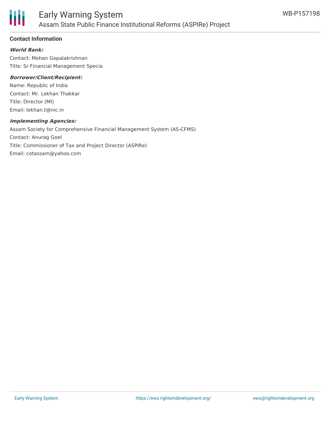

#### **Contact Information**

#### **World Bank:**

Contact: Mohan Gopalakrishnan Title: Sr Financial Management Specia

#### **Borrower/Client/Recipient:**

Name: Republic of India Contact: Mr. Lekhan Thakkar Title: Director (MI) Email: lekhan.t@nic.in

#### **Implementing Agencies:**

Assam Society for Comprehensive Financial Management System (AS-CFMS) Contact: Anurag Goel Title: Commissioner of Tax and Project Director (ASPIRe) Email: cotassam@yahoo.com